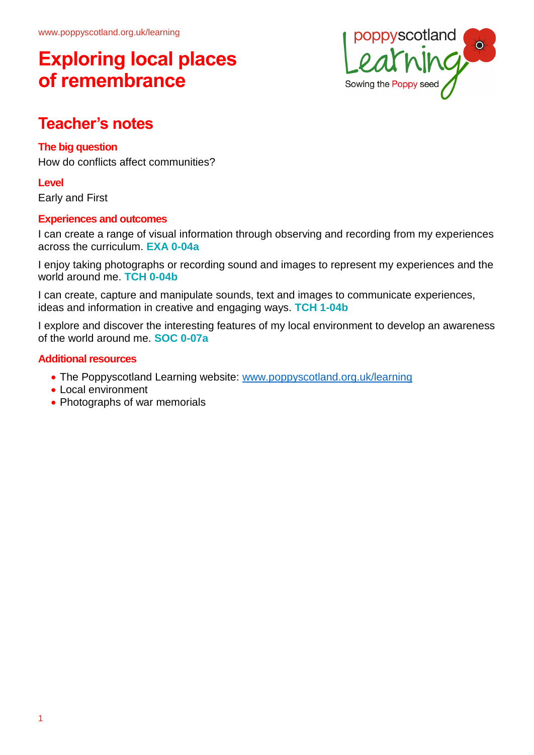

## **Teacher's notes**

## **The big question**

How do conflicts affect communities?

**Level**

Early and First

## **Experiences and outcomes**

I can create a range of visual information through observing and recording from my experiences across the curriculum. **EXA 0-04a**

I enjoy taking photographs or recording sound and images to represent my experiences and the world around me. **TCH 0-04b**

I can create, capture and manipulate sounds, text and images to communicate experiences, ideas and information in creative and engaging ways. **TCH 1-04b**

I explore and discover the interesting features of my local environment to develop an awareness of the world around me. **SOC 0-07a**

## **Additional resources**

- The Poppyscotland Learning website: [www.poppyscotland.org.uk/learning](http://www.poppyscotland.org.uk/learning)
- Local environment
- Photographs of war memorials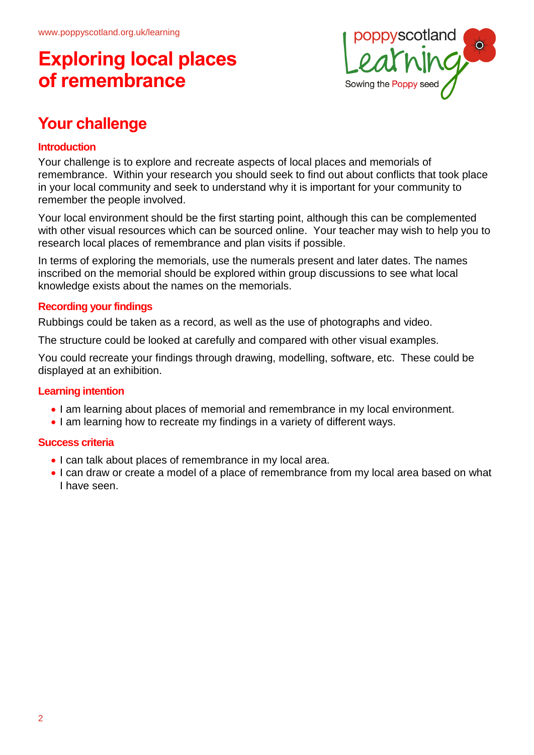

# **Your challenge**

## **Introduction**

Your challenge is to explore and recreate aspects of local places and memorials of remembrance. Within your research you should seek to find out about conflicts that took place in your local community and seek to understand why it is important for your community to remember the people involved.

Your local environment should be the first starting point, although this can be complemented with other visual resources which can be sourced online. Your teacher may wish to help you to research local places of remembrance and plan visits if possible.

In terms of exploring the memorials, use the numerals present and later dates. The names inscribed on the memorial should be explored within group discussions to see what local knowledge exists about the names on the memorials.

#### **Recording your findings**

Rubbings could be taken as a record, as well as the use of photographs and video.

The structure could be looked at carefully and compared with other visual examples.

You could recreate your findings through drawing, modelling, software, etc. These could be displayed at an exhibition.

## **Learning intention**

- I am learning about places of memorial and remembrance in my local environment.
- I am learning how to recreate my findings in a variety of different ways.

#### **Success criteria**

- I can talk about places of remembrance in my local area.
- I can draw or create a model of a place of remembrance from my local area based on what I have seen.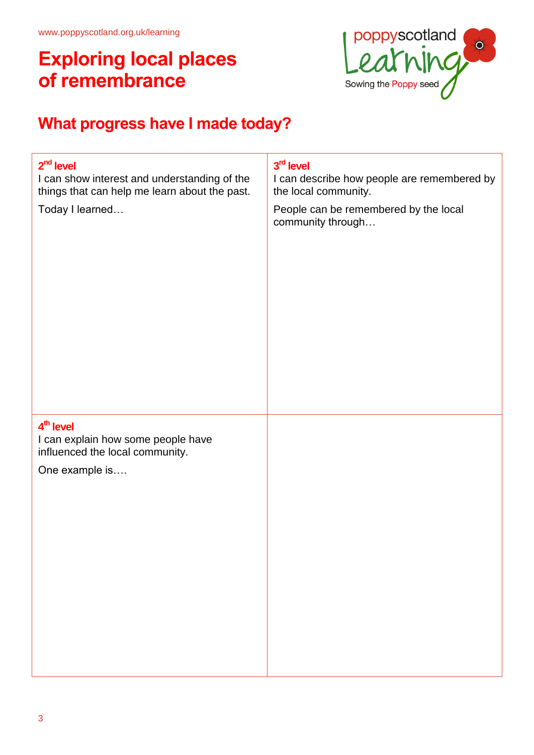

# **What progress have I made today?**

| $2nd$ level                                                                                                      | 3rd level                                                  |
|------------------------------------------------------------------------------------------------------------------|------------------------------------------------------------|
| I can show interest and understanding of the                                                                     | I can describe how people are remembered by                |
| things that can help me learn about the past.                                                                    | the local community.                                       |
| Today I learned                                                                                                  | People can be remembered by the local<br>community through |
| 4 <sup>th</sup> level<br>I can explain how some people have<br>influenced the local community.<br>One example is |                                                            |